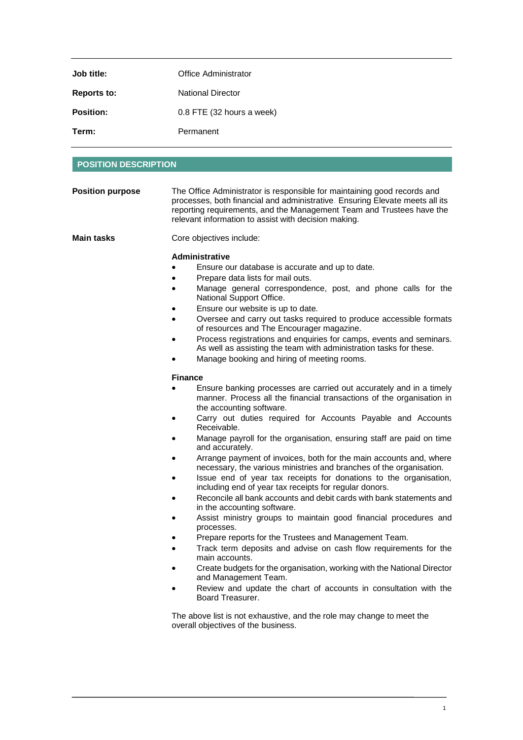| Job title:         | Office Administrator        |
|--------------------|-----------------------------|
| <b>Reports to:</b> | <b>National Director</b>    |
| <b>Position:</b>   | $0.8$ FTE (32 hours a week) |
| Term:              | Permanent                   |

## **POSITION DESCRIPTION**

| <b>Position purpose</b> | The Office Administrator is responsible for maintaining good records and<br>processes, both financial and administrative. Ensuring Elevate meets all its<br>reporting requirements, and the Management Team and Trustees have the<br>relevant information to assist with decision making.                                                                                                                                                                                                                                                                                                                                                                                                                                                                                                                                                                                                                                                                                                                                                                                                                                                                                                                                                                                                                                                                                                                                                                                                                                                                                                                                                                   |
|-------------------------|-------------------------------------------------------------------------------------------------------------------------------------------------------------------------------------------------------------------------------------------------------------------------------------------------------------------------------------------------------------------------------------------------------------------------------------------------------------------------------------------------------------------------------------------------------------------------------------------------------------------------------------------------------------------------------------------------------------------------------------------------------------------------------------------------------------------------------------------------------------------------------------------------------------------------------------------------------------------------------------------------------------------------------------------------------------------------------------------------------------------------------------------------------------------------------------------------------------------------------------------------------------------------------------------------------------------------------------------------------------------------------------------------------------------------------------------------------------------------------------------------------------------------------------------------------------------------------------------------------------------------------------------------------------|
| <b>Main tasks</b>       | Core objectives include:                                                                                                                                                                                                                                                                                                                                                                                                                                                                                                                                                                                                                                                                                                                                                                                                                                                                                                                                                                                                                                                                                                                                                                                                                                                                                                                                                                                                                                                                                                                                                                                                                                    |
|                         | <b>Administrative</b><br>Ensure our database is accurate and up to date.<br>Prepare data lists for mail outs.<br>Manage general correspondence, post, and phone calls for the<br>National Support Office.<br>Ensure our website is up to date.<br>Oversee and carry out tasks required to produce accessible formats<br>of resources and The Encourager magazine.<br>Process registrations and enquiries for camps, events and seminars.<br>As well as assisting the team with administration tasks for these.<br>Manage booking and hiring of meeting rooms.<br><b>Finance</b><br>Ensure banking processes are carried out accurately and in a timely<br>manner. Process all the financial transactions of the organisation in<br>the accounting software.<br>Carry out duties required for Accounts Payable and Accounts<br>Receivable.<br>Manage payroll for the organisation, ensuring staff are paid on time<br>and accurately.<br>Arrange payment of invoices, both for the main accounts and, where<br>necessary, the various ministries and branches of the organisation.<br>Issue end of year tax receipts for donations to the organisation,<br>including end of year tax receipts for regular donors.<br>Reconcile all bank accounts and debit cards with bank statements and<br>in the accounting software.<br>Assist ministry groups to maintain good financial procedures and<br>processes.<br>Prepare reports for the Trustees and Management Team.<br>Track term deposits and advise on cash flow requirements for the<br>main accounts.<br>Create budgets for the organisation, working with the National Director<br>and Management Team. |
|                         | Review and update the chart of accounts in consultation with the<br>Board Treasurer.                                                                                                                                                                                                                                                                                                                                                                                                                                                                                                                                                                                                                                                                                                                                                                                                                                                                                                                                                                                                                                                                                                                                                                                                                                                                                                                                                                                                                                                                                                                                                                        |
|                         | The above list is not exhaustive, and the role may change to meet the<br>overall objectives of the business.                                                                                                                                                                                                                                                                                                                                                                                                                                                                                                                                                                                                                                                                                                                                                                                                                                                                                                                                                                                                                                                                                                                                                                                                                                                                                                                                                                                                                                                                                                                                                |

1